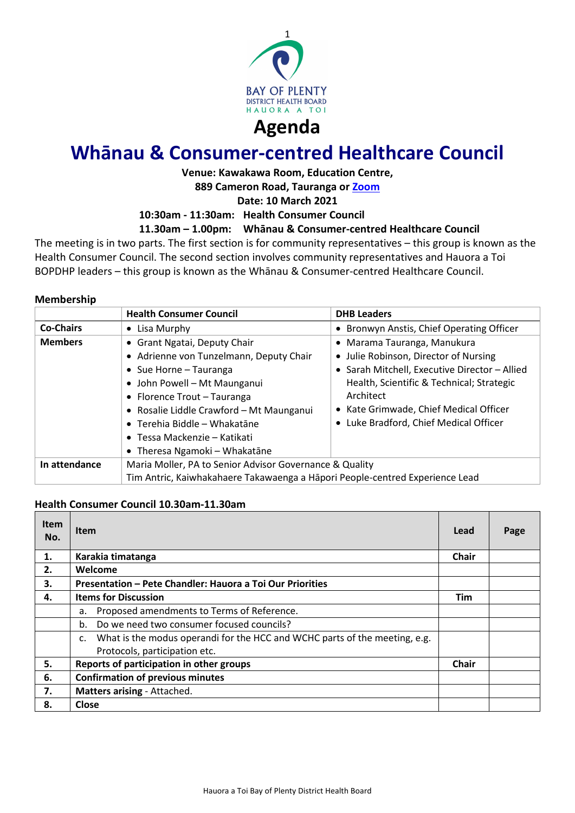

# **Whānau & Consumer-centred Healthcare Council**

# **Venue: Kawakawa Room, Education Centre,**

**889 Cameron Road, Tauranga or [Zoom](https://bopdhb.zoom.us/j/84812889571?pwd=V2VYYUo3Z3ZHWk50Sk1NZWxxa0FSZz09)**

**Date: 10 March 2021**

**10:30am - 11:30am: Health Consumer Council**

### **11.30am – 1.00pm: Whānau & Consumer-centred Healthcare Council**

The meeting is in two parts. The first section is for community representatives – this group is known as the Health Consumer Council. The second section involves community representatives and Hauora a Toi BOPDHP leaders – this group is known as the Whānau & Consumer-centred Healthcare Council.

#### **Membership**

|                  | <b>Health Consumer Council</b>                                               | <b>DHB Leaders</b>                        |  |  |
|------------------|------------------------------------------------------------------------------|-------------------------------------------|--|--|
| <b>Co-Chairs</b> | $\bullet$ Lisa Murphy                                                        | • Bronwyn Anstis, Chief Operating Officer |  |  |
| <b>Members</b>   | • Grant Ngatai, Deputy Chair<br>• Marama Tauranga, Manukura                  |                                           |  |  |
|                  | • Adrienne von Tunzelmann, Deputy Chair                                      | • Julie Robinson, Director of Nursing     |  |  |
|                  | • Sarah Mitchell, Executive Director - Allied                                |                                           |  |  |
|                  | • John Powell - Mt Maunganui                                                 | Health, Scientific & Technical; Strategic |  |  |
|                  | • Florence Trout - Tauranga                                                  | Architect                                 |  |  |
|                  | • Rosalie Liddle Crawford - Mt Maunganui                                     | • Kate Grimwade, Chief Medical Officer    |  |  |
|                  | $\bullet$ Terehia Biddle – Whakatāne                                         | • Luke Bradford, Chief Medical Officer    |  |  |
|                  | • Tessa Mackenzie – Katikati                                                 |                                           |  |  |
|                  | • Theresa Ngamoki - Whakatāne                                                |                                           |  |  |
| In attendance    | Maria Moller, PA to Senior Advisor Governance & Quality                      |                                           |  |  |
|                  | Tim Antric, Kaiwhakahaere Takawaenga a Hāpori People-centred Experience Lead |                                           |  |  |

#### **Health Consumer Council 10.30am-11.30am**

| <b>Item</b><br>No. | Item                                                                                                        | Lead         | Page |
|--------------------|-------------------------------------------------------------------------------------------------------------|--------------|------|
| 1.                 | Karakia timatanga                                                                                           | <b>Chair</b> |      |
| 2.                 | Welcome                                                                                                     |              |      |
| 3.                 | Presentation - Pete Chandler: Hauora a Toi Our Priorities                                                   |              |      |
| 4.                 | <b>Items for Discussion</b>                                                                                 | <b>Tim</b>   |      |
|                    | Proposed amendments to Terms of Reference.<br>a.                                                            |              |      |
|                    | Do we need two consumer focused councils?<br>h.                                                             |              |      |
|                    | What is the modus operandi for the HCC and WCHC parts of the meeting, e.g.<br>Protocols, participation etc. |              |      |
| 5.                 | Reports of participation in other groups                                                                    | <b>Chair</b> |      |
| 6.                 | <b>Confirmation of previous minutes</b>                                                                     |              |      |
| 7.                 | Matters arising - Attached.                                                                                 |              |      |
| 8.                 | Close                                                                                                       |              |      |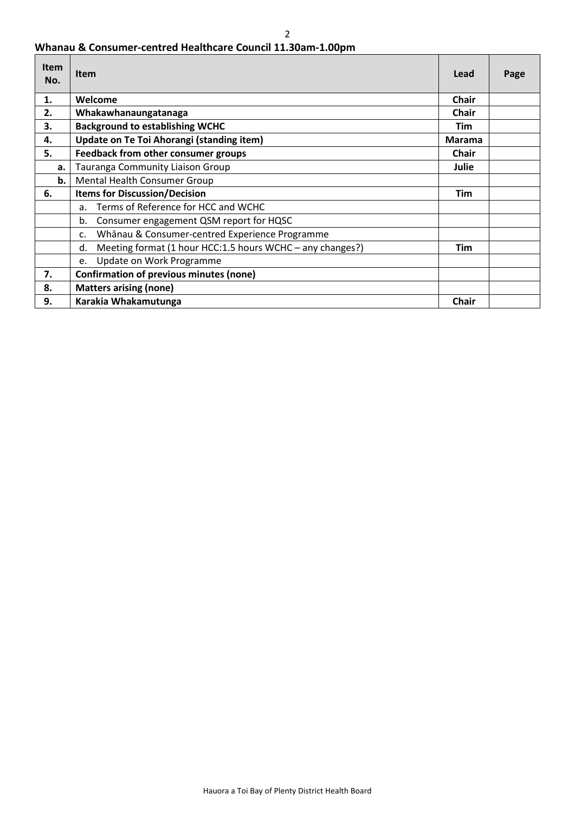# **Whanau & Consumer-centred Healthcare Council 11.30am-1.00pm**

| <b>Item</b><br>No. | Item                                                             | Lead          | Page |
|--------------------|------------------------------------------------------------------|---------------|------|
| 1.                 | Welcome                                                          | <b>Chair</b>  |      |
| 2.                 | Whakawhanaungatanaga                                             | <b>Chair</b>  |      |
| 3.                 | <b>Background to establishing WCHC</b>                           | Tim           |      |
| 4.                 | Update on Te Toi Ahorangi (standing item)                        | <b>Marama</b> |      |
| 5.                 | Feedback from other consumer groups                              | <b>Chair</b>  |      |
| a.                 | Tauranga Community Liaison Group                                 | Julie         |      |
| b.                 | Mental Health Consumer Group                                     |               |      |
| 6.                 | <b>Items for Discussion/Decision</b>                             | <b>Tim</b>    |      |
|                    | Terms of Reference for HCC and WCHC<br>a <sub>z</sub>            |               |      |
|                    | Consumer engagement QSM report for HQSC<br>b.                    |               |      |
|                    | Whānau & Consumer-centred Experience Programme<br>$\mathsf{C}$ . |               |      |
|                    | Meeting format (1 hour HCC:1.5 hours WCHC - any changes?)<br>d.  | <b>Tim</b>    |      |
|                    | Update on Work Programme<br>e.                                   |               |      |
| 7.                 | Confirmation of previous minutes (none)                          |               |      |
| 8.                 | <b>Matters arising (none)</b>                                    |               |      |
| 9.                 | Karakia Whakamutunga                                             | <b>Chair</b>  |      |

2